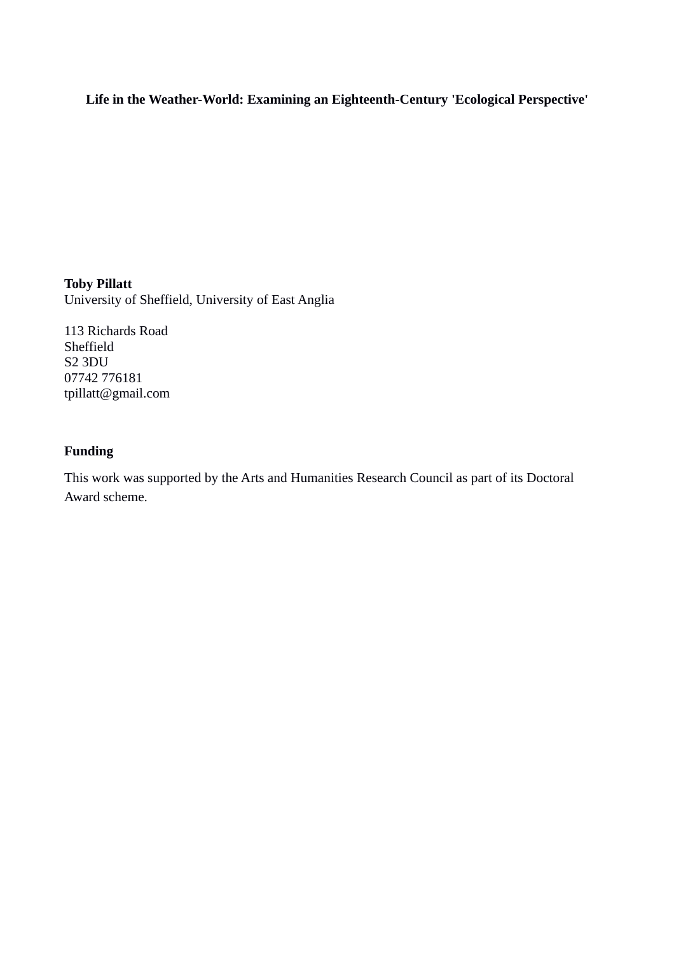## **Life in the Weather-World: Examining an Eighteenth-Century 'Ecological Perspective'**

**Toby Pillatt** University of Sheffield, University of East Anglia

113 Richards Road Sheffield S2 3DU 07742 776181 tpillatt@gmail.com

### **Funding**

This work was supported by the Arts and Humanities Research Council as part of its Doctoral Award scheme.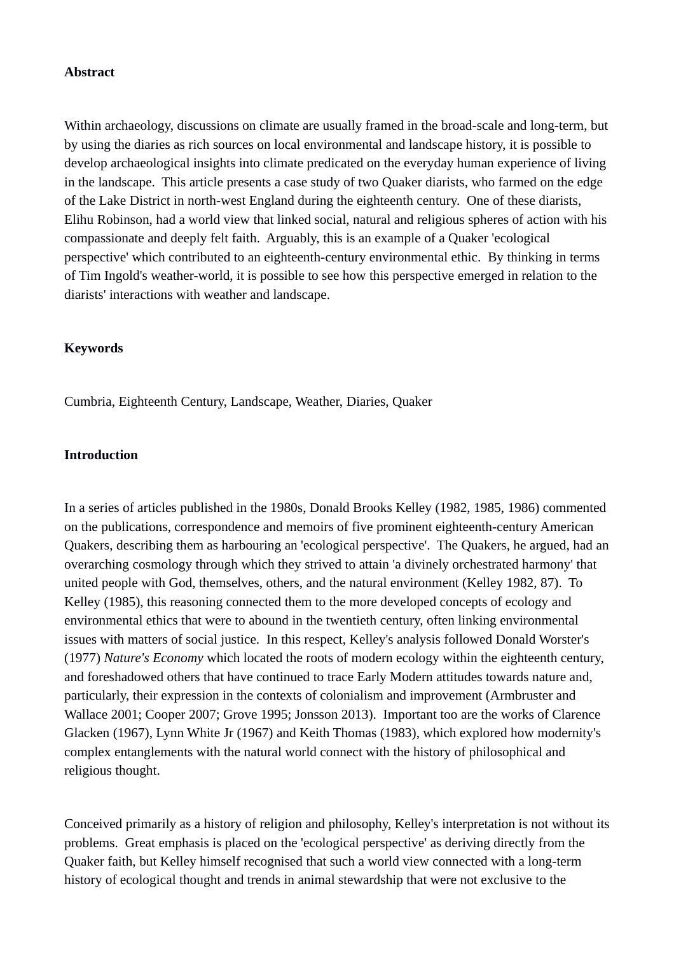### **Abstract**

Within archaeology, discussions on climate are usually framed in the broad-scale and long-term, but by using the diaries as rich sources on local environmental and landscape history, it is possible to develop archaeological insights into climate predicated on the everyday human experience of living in the landscape. This article presents a case study of two Quaker diarists, who farmed on the edge of the Lake District in north-west England during the eighteenth century. One of these diarists, Elihu Robinson, had a world view that linked social, natural and religious spheres of action with his compassionate and deeply felt faith. Arguably, this is an example of a Quaker 'ecological perspective' which contributed to an eighteenth-century environmental ethic. By thinking in terms of Tim Ingold's weather-world, it is possible to see how this perspective emerged in relation to the diarists' interactions with weather and landscape.

### **Keywords**

Cumbria, Eighteenth Century, Landscape, Weather, Diaries, Quaker

### **Introduction**

In a series of articles published in the 1980s, Donald Brooks Kelley (1982, 1985, 1986) commented on the publications, correspondence and memoirs of five prominent eighteenth-century American Quakers, describing them as harbouring an 'ecological perspective'. The Quakers, he argued, had an overarching cosmology through which they strived to attain 'a divinely orchestrated harmony' that united people with God, themselves, others, and the natural environment (Kelley 1982, 87). To Kelley (1985), this reasoning connected them to the more developed concepts of ecology and environmental ethics that were to abound in the twentieth century, often linking environmental issues with matters of social justice. In this respect, Kelley's analysis followed Donald Worster's (1977) *Nature's Economy* which located the roots of modern ecology within the eighteenth century, and foreshadowed others that have continued to trace Early Modern attitudes towards nature and, particularly, their expression in the contexts of colonialism and improvement (Armbruster and Wallace 2001; Cooper 2007; Grove 1995; Jonsson 2013). Important too are the works of Clarence Glacken (1967), Lynn White Jr (1967) and Keith Thomas (1983), which explored how modernity's complex entanglements with the natural world connect with the history of philosophical and religious thought.

Conceived primarily as a history of religion and philosophy, Kelley's interpretation is not without its problems. Great emphasis is placed on the 'ecological perspective' as deriving directly from the Quaker faith, but Kelley himself recognised that such a world view connected with a long-term history of ecological thought and trends in animal stewardship that were not exclusive to the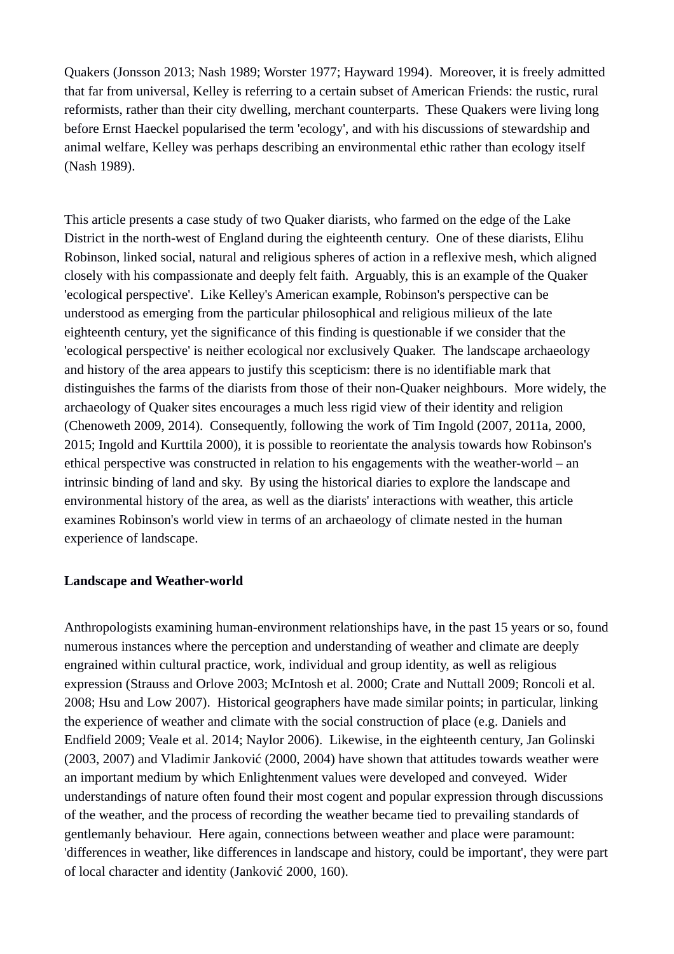Quakers (Jonsson 2013; Nash 1989; Worster 1977; Hayward 1994). Moreover, it is freely admitted that far from universal, Kelley is referring to a certain subset of American Friends: the rustic, rural reformists, rather than their city dwelling, merchant counterparts. These Quakers were living long before Ernst Haeckel popularised the term 'ecology', and with his discussions of stewardship and animal welfare, Kelley was perhaps describing an environmental ethic rather than ecology itself (Nash 1989).

This article presents a case study of two Quaker diarists, who farmed on the edge of the Lake District in the north-west of England during the eighteenth century. One of these diarists, Elihu Robinson, linked social, natural and religious spheres of action in a reflexive mesh, which aligned closely with his compassionate and deeply felt faith. Arguably, this is an example of the Quaker 'ecological perspective'. Like Kelley's American example, Robinson's perspective can be understood as emerging from the particular philosophical and religious milieux of the late eighteenth century, yet the significance of this finding is questionable if we consider that the 'ecological perspective' is neither ecological nor exclusively Quaker. The landscape archaeology and history of the area appears to justify this scepticism: there is no identifiable mark that distinguishes the farms of the diarists from those of their non-Quaker neighbours. More widely, the archaeology of Quaker sites encourages a much less rigid view of their identity and religion (Chenoweth 2009, 2014). Consequently, following the work of Tim Ingold (2007, 2011a, 2000, 2015; Ingold and Kurttila 2000), it is possible to reorientate the analysis towards how Robinson's ethical perspective was constructed in relation to his engagements with the weather-world – an intrinsic binding of land and sky. By using the historical diaries to explore the landscape and environmental history of the area, as well as the diarists' interactions with weather, this article examines Robinson's world view in terms of an archaeology of climate nested in the human experience of landscape.

### **Landscape and Weather-world**

Anthropologists examining human-environment relationships have, in the past 15 years or so, found numerous instances where the perception and understanding of weather and climate are deeply engrained within cultural practice, work, individual and group identity, as well as religious expression (Strauss and Orlove 2003; McIntosh et al. 2000; Crate and Nuttall 2009; Roncoli et al. 2008; Hsu and Low 2007). Historical geographers have made similar points; in particular, linking the experience of weather and climate with the social construction of place (e.g. Daniels and Endfield 2009; Veale et al. 2014; Naylor 2006). Likewise, in the eighteenth century, Jan Golinski (2003, 2007) and Vladimir Janković (2000, 2004) have shown that attitudes towards weather were an important medium by which Enlightenment values were developed and conveyed. Wider understandings of nature often found their most cogent and popular expression through discussions of the weather, and the process of recording the weather became tied to prevailing standards of gentlemanly behaviour. Here again, connections between weather and place were paramount: 'differences in weather, like differences in landscape and history, could be important', they were part of local character and identity (Janković 2000, 160).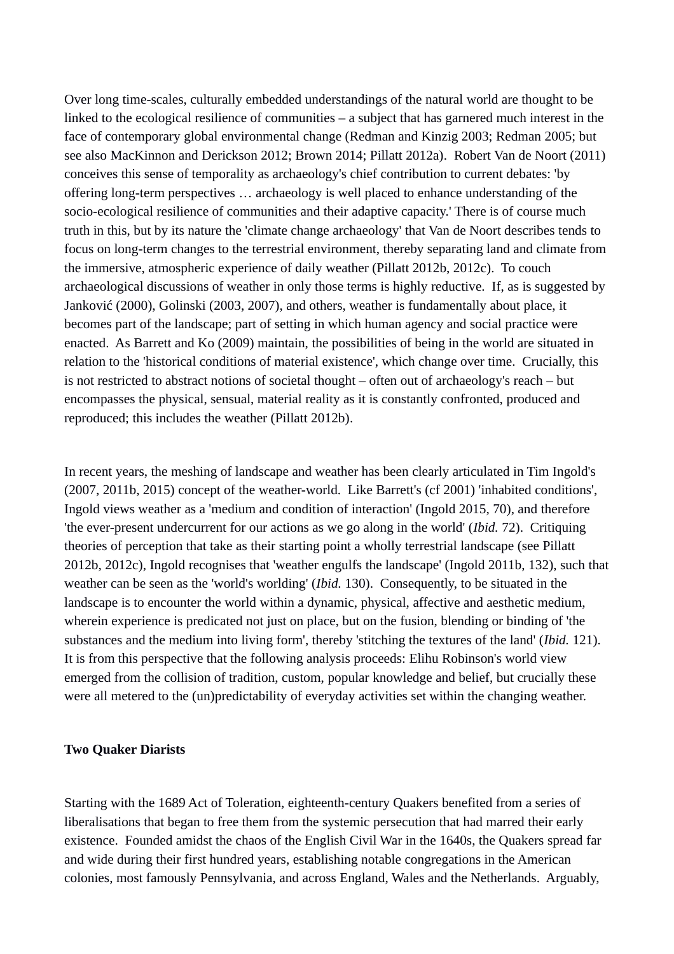Over long time-scales, culturally embedded understandings of the natural world are thought to be linked to the ecological resilience of communities – a subject that has garnered much interest in the face of contemporary global environmental change (Redman and Kinzig 2003; Redman 2005; but see also MacKinnon and Derickson 2012; Brown 2014; Pillatt 2012a). Robert Van de Noort (2011) conceives this sense of temporality as archaeology's chief contribution to current debates: 'by offering long-term perspectives … archaeology is well placed to enhance understanding of the socio-ecological resilience of communities and their adaptive capacity.' There is of course much truth in this, but by its nature the 'climate change archaeology' that Van de Noort describes tends to focus on long-term changes to the terrestrial environment, thereby separating land and climate from the immersive, atmospheric experience of daily weather (Pillatt 2012b, 2012c). To couch archaeological discussions of weather in only those terms is highly reductive. If, as is suggested by Janković (2000), Golinski (2003, 2007), and others, weather is fundamentally about place, it becomes part of the landscape; part of setting in which human agency and social practice were enacted. As Barrett and Ko (2009) maintain, the possibilities of being in the world are situated in relation to the 'historical conditions of material existence', which change over time. Crucially, this is not restricted to abstract notions of societal thought – often out of archaeology's reach – but encompasses the physical, sensual, material reality as it is constantly confronted, produced and reproduced; this includes the weather (Pillatt 2012b).

In recent years, the meshing of landscape and weather has been clearly articulated in Tim Ingold's (2007, 2011b, 2015) concept of the weather-world. Like Barrett's (cf 2001) 'inhabited conditions', Ingold views weather as a 'medium and condition of interaction' (Ingold 2015, 70), and therefore 'the ever-present undercurrent for our actions as we go along in the world' (*Ibid.* 72). Critiquing theories of perception that take as their starting point a wholly terrestrial landscape (see Pillatt 2012b, 2012c), Ingold recognises that 'weather engulfs the landscape' (Ingold 2011b, 132), such that weather can be seen as the 'world's worlding' (*Ibid.* 130). Consequently, to be situated in the landscape is to encounter the world within a dynamic, physical, affective and aesthetic medium, wherein experience is predicated not just on place, but on the fusion, blending or binding of 'the substances and the medium into living form', thereby 'stitching the textures of the land' (*Ibid.* 121). It is from this perspective that the following analysis proceeds: Elihu Robinson's world view emerged from the collision of tradition, custom, popular knowledge and belief, but crucially these were all metered to the (un)predictability of everyday activities set within the changing weather.

### **Two Quaker Diarists**

Starting with the 1689 Act of Toleration, eighteenth-century Quakers benefited from a series of liberalisations that began to free them from the systemic persecution that had marred their early existence. Founded amidst the chaos of the English Civil War in the 1640s, the Quakers spread far and wide during their first hundred years, establishing notable congregations in the American colonies, most famously Pennsylvania, and across England, Wales and the Netherlands. Arguably,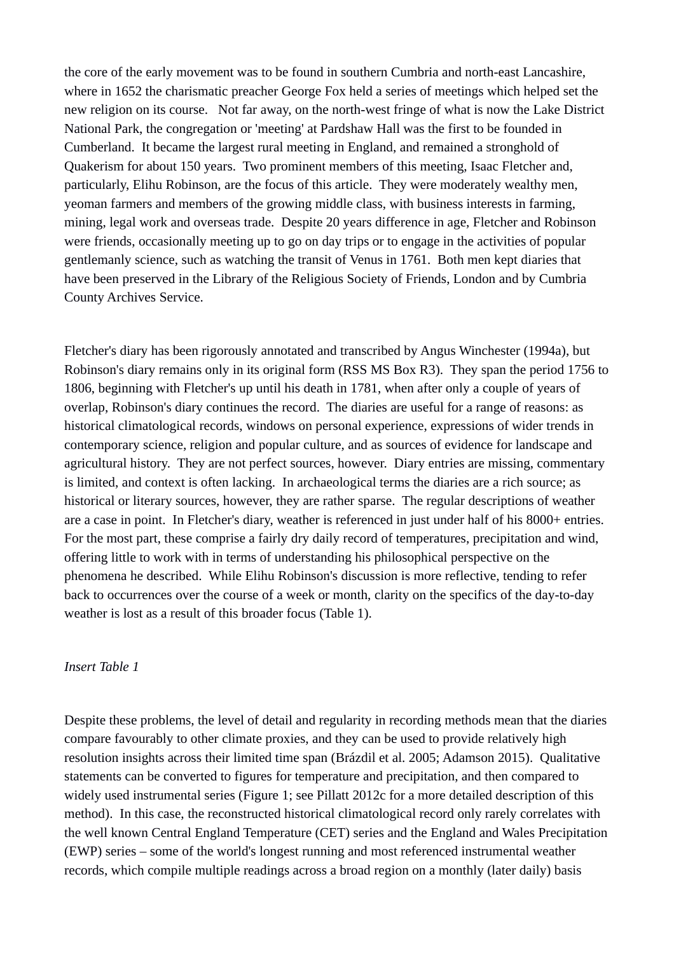the core of the early movement was to be found in southern Cumbria and north-east Lancashire, where in 1652 the charismatic preacher George Fox held a series of meetings which helped set the new religion on its course. Not far away, on the north-west fringe of what is now the Lake District National Park, the congregation or 'meeting' at Pardshaw Hall was the first to be founded in Cumberland. It became the largest rural meeting in England, and remained a stronghold of Quakerism for about 150 years. Two prominent members of this meeting, Isaac Fletcher and, particularly, Elihu Robinson, are the focus of this article. They were moderately wealthy men, yeoman farmers and members of the growing middle class, with business interests in farming, mining, legal work and overseas trade. Despite 20 years difference in age, Fletcher and Robinson were friends, occasionally meeting up to go on day trips or to engage in the activities of popular gentlemanly science, such as watching the transit of Venus in 1761. Both men kept diaries that have been preserved in the Library of the Religious Society of Friends, London and by Cumbria County Archives Service.

Fletcher's diary has been rigorously annotated and transcribed by Angus Winchester (1994a), but Robinson's diary remains only in its original form (RSS MS Box R3). They span the period 1756 to 1806, beginning with Fletcher's up until his death in 1781, when after only a couple of years of overlap, Robinson's diary continues the record. The diaries are useful for a range of reasons: as historical climatological records, windows on personal experience, expressions of wider trends in contemporary science, religion and popular culture, and as sources of evidence for landscape and agricultural history. They are not perfect sources, however. Diary entries are missing, commentary is limited, and context is often lacking. In archaeological terms the diaries are a rich source; as historical or literary sources, however, they are rather sparse. The regular descriptions of weather are a case in point. In Fletcher's diary, weather is referenced in just under half of his 8000+ entries. For the most part, these comprise a fairly dry daily record of temperatures, precipitation and wind, offering little to work with in terms of understanding his philosophical perspective on the phenomena he described. While Elihu Robinson's discussion is more reflective, tending to refer back to occurrences over the course of a week or month, clarity on the specifics of the day-to-day weather is lost as a result of this broader focus (Table 1).

#### *Insert Table 1*

Despite these problems, the level of detail and regularity in recording methods mean that the diaries compare favourably to other climate proxies, and they can be used to provide relatively high resolution insights across their limited time span (Brázdil et al. 2005; Adamson 2015). Qualitative statements can be converted to figures for temperature and precipitation, and then compared to widely used instrumental series (Figure 1; see Pillatt 2012c for a more detailed description of this method). In this case, the reconstructed historical climatological record only rarely correlates with the well known Central England Temperature (CET) series and the England and Wales Precipitation (EWP) series – some of the world's longest running and most referenced instrumental weather records, which compile multiple readings across a broad region on a monthly (later daily) basis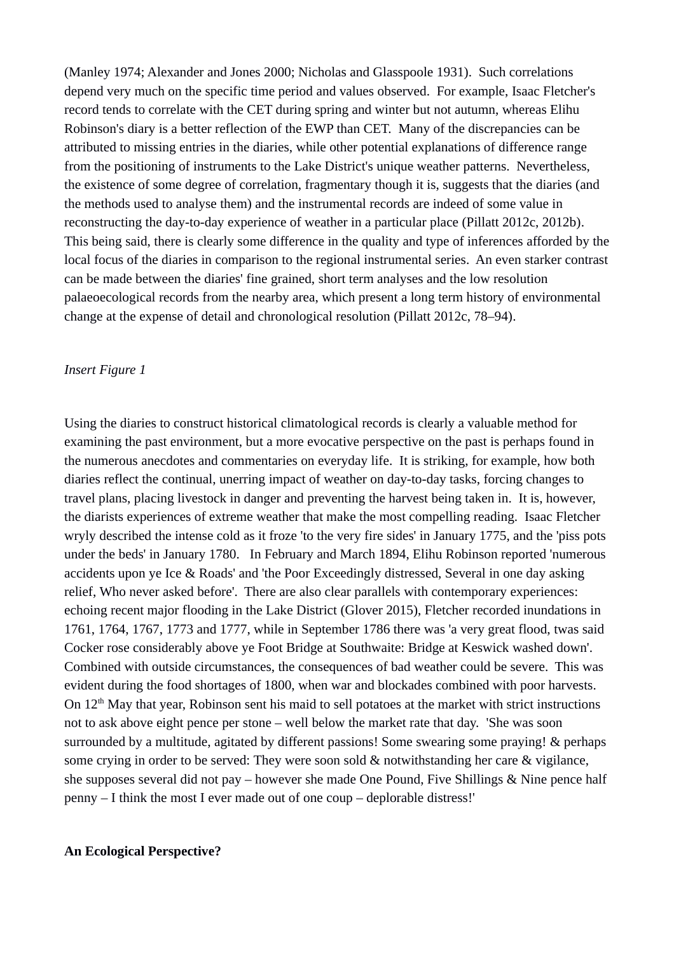(Manley 1974; Alexander and Jones 2000; Nicholas and Glasspoole 1931). Such correlations depend very much on the specific time period and values observed. For example, Isaac Fletcher's record tends to correlate with the CET during spring and winter but not autumn, whereas Elihu Robinson's diary is a better reflection of the EWP than CET. Many of the discrepancies can be attributed to missing entries in the diaries, while other potential explanations of difference range from the positioning of instruments to the Lake District's unique weather patterns. Nevertheless, the existence of some degree of correlation, fragmentary though it is, suggests that the diaries (and the methods used to analyse them) and the instrumental records are indeed of some value in reconstructing the day-to-day experience of weather in a particular place (Pillatt 2012c, 2012b). This being said, there is clearly some difference in the quality and type of inferences afforded by the local focus of the diaries in comparison to the regional instrumental series. An even starker contrast can be made between the diaries' fine grained, short term analyses and the low resolution palaeoecological records from the nearby area, which present a long term history of environmental change at the expense of detail and chronological resolution (Pillatt 2012c, 78–94).

### *Insert Figure 1*

Using the diaries to construct historical climatological records is clearly a valuable method for examining the past environment, but a more evocative perspective on the past is perhaps found in the numerous anecdotes and commentaries on everyday life. It is striking, for example, how both diaries reflect the continual, unerring impact of weather on day-to-day tasks, forcing changes to travel plans, placing livestock in danger and preventing the harvest being taken in. It is, however, the diarists experiences of extreme weather that make the most compelling reading. Isaac Fletcher wryly described the intense cold as it froze 'to the very fire sides' in January 1775, and the 'piss pots under the beds' in January 1780. In February and March 1894, Elihu Robinson reported 'numerous accidents upon ye Ice & Roads' and 'the Poor Exceedingly distressed, Several in one day asking relief, Who never asked before'. There are also clear parallels with contemporary experiences: echoing recent major flooding in the Lake District (Glover 2015), Fletcher recorded inundations in 1761, 1764, 1767, 1773 and 1777, while in September 1786 there was 'a very great flood, twas said Cocker rose considerably above ye Foot Bridge at Southwaite: Bridge at Keswick washed down'. Combined with outside circumstances, the consequences of bad weather could be severe. This was evident during the food shortages of 1800, when war and blockades combined with poor harvests. On 12<sup>th</sup> May that year, Robinson sent his maid to sell potatoes at the market with strict instructions not to ask above eight pence per stone – well below the market rate that day. 'She was soon surrounded by a multitude, agitated by different passions! Some swearing some praying! & perhaps some crying in order to be served: They were soon sold & notwithstanding her care & vigilance, she supposes several did not pay – however she made One Pound, Five Shillings & Nine pence half penny – I think the most I ever made out of one coup – deplorable distress!'

### **An Ecological Perspective?**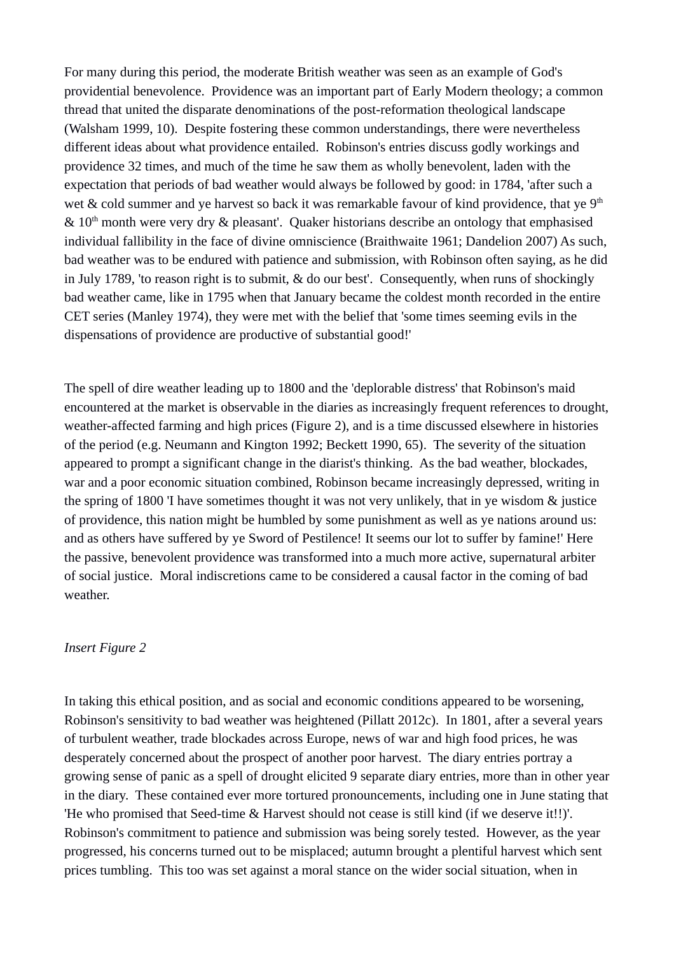For many during this period, the moderate British weather was seen as an example of God's providential benevolence. Providence was an important part of Early Modern theology; a common thread that united the disparate denominations of the post-reformation theological landscape (Walsham 1999, 10). Despite fostering these common understandings, there were nevertheless different ideas about what providence entailed. Robinson's entries discuss godly workings and providence 32 times, and much of the time he saw them as wholly benevolent, laden with the expectation that periods of bad weather would always be followed by good: in 1784, 'after such a wet & cold summer and ye harvest so back it was remarkable favour of kind providence, that ye  $9<sup>th</sup>$  $& 10<sup>th</sup>$  month were very dry  $&$  pleasant'. Quaker historians describe an ontology that emphasised individual fallibility in the face of divine omniscience (Braithwaite 1961; Dandelion 2007) As such, bad weather was to be endured with patience and submission, with Robinson often saying, as he did in July 1789, 'to reason right is to submit, & do our best'. Consequently, when runs of shockingly bad weather came, like in 1795 when that January became the coldest month recorded in the entire CET series (Manley 1974), they were met with the belief that 'some times seeming evils in the dispensations of providence are productive of substantial good!'

The spell of dire weather leading up to 1800 and the 'deplorable distress' that Robinson's maid encountered at the market is observable in the diaries as increasingly frequent references to drought, weather-affected farming and high prices (Figure 2), and is a time discussed elsewhere in histories of the period (e.g. Neumann and Kington 1992; Beckett 1990, 65). The severity of the situation appeared to prompt a significant change in the diarist's thinking. As the bad weather, blockades, war and a poor economic situation combined, Robinson became increasingly depressed, writing in the spring of 1800 'I have sometimes thought it was not very unlikely, that in ye wisdom & justice of providence, this nation might be humbled by some punishment as well as ye nations around us: and as others have suffered by ye Sword of Pestilence! It seems our lot to suffer by famine!' Here the passive, benevolent providence was transformed into a much more active, supernatural arbiter of social justice. Moral indiscretions came to be considered a causal factor in the coming of bad weather.

#### *Insert Figure 2*

In taking this ethical position, and as social and economic conditions appeared to be worsening, Robinson's sensitivity to bad weather was heightened (Pillatt 2012c). In 1801, after a several years of turbulent weather, trade blockades across Europe, news of war and high food prices, he was desperately concerned about the prospect of another poor harvest. The diary entries portray a growing sense of panic as a spell of drought elicited 9 separate diary entries, more than in other year in the diary. These contained ever more tortured pronouncements, including one in June stating that 'He who promised that Seed-time & Harvest should not cease is still kind (if we deserve it!!)'. Robinson's commitment to patience and submission was being sorely tested. However, as the year progressed, his concerns turned out to be misplaced; autumn brought a plentiful harvest which sent prices tumbling. This too was set against a moral stance on the wider social situation, when in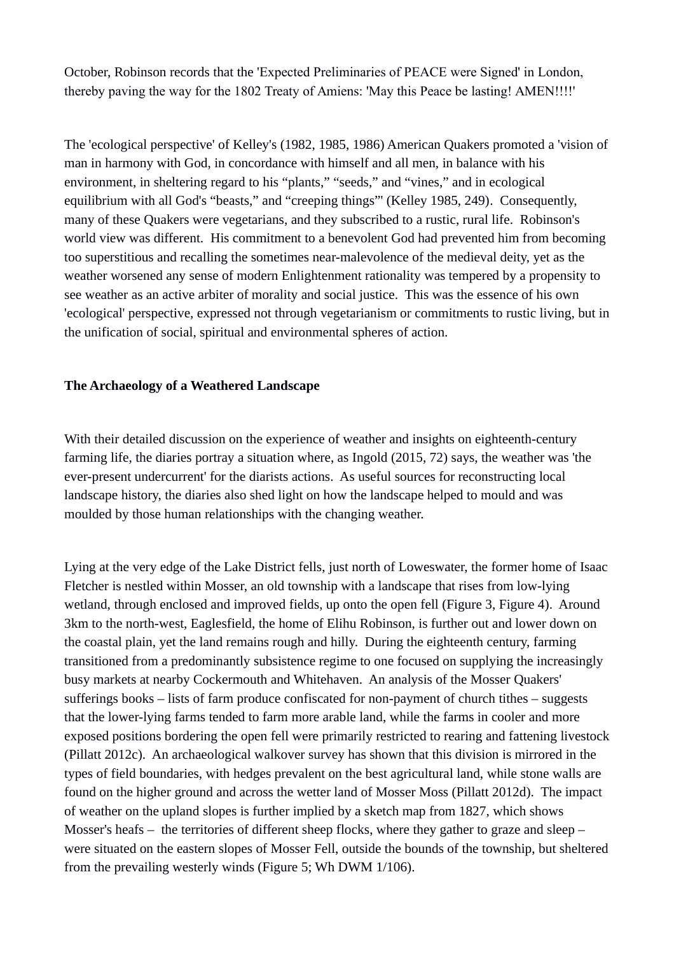October, Robinson records that the 'Expected Preliminaries of PEACE were Signed' in London, thereby paving the way for the 1802 Treaty of Amiens: 'May this Peace be lasting! AMEN!!!!'

The 'ecological perspective' of Kelley's (1982, 1985, 1986) American Quakers promoted a 'vision of man in harmony with God, in concordance with himself and all men, in balance with his environment, in sheltering regard to his "plants," "seeds," and "vines," and in ecological equilibrium with all God's "beasts," and "creeping things"' (Kelley 1985, 249). Consequently, many of these Quakers were vegetarians, and they subscribed to a rustic, rural life. Robinson's world view was different. His commitment to a benevolent God had prevented him from becoming too superstitious and recalling the sometimes near-malevolence of the medieval deity, yet as the weather worsened any sense of modern Enlightenment rationality was tempered by a propensity to see weather as an active arbiter of morality and social justice. This was the essence of his own 'ecological' perspective, expressed not through vegetarianism or commitments to rustic living, but in the unification of social, spiritual and environmental spheres of action.

### **The Archaeology of a Weathered Landscape**

With their detailed discussion on the experience of weather and insights on eighteenth-century farming life, the diaries portray a situation where, as Ingold (2015, 72) says, the weather was 'the ever-present undercurrent' for the diarists actions. As useful sources for reconstructing local landscape history, the diaries also shed light on how the landscape helped to mould and was moulded by those human relationships with the changing weather.

Lying at the very edge of the Lake District fells, just north of Loweswater, the former home of Isaac Fletcher is nestled within Mosser, an old township with a landscape that rises from low-lying wetland, through enclosed and improved fields, up onto the open fell (Figure 3, Figure 4). Around 3km to the north-west, Eaglesfield, the home of Elihu Robinson, is further out and lower down on the coastal plain, yet the land remains rough and hilly. During the eighteenth century, farming transitioned from a predominantly subsistence regime to one focused on supplying the increasingly busy markets at nearby Cockermouth and Whitehaven. An analysis of the Mosser Quakers' sufferings books – lists of farm produce confiscated for non-payment of church tithes – suggests that the lower-lying farms tended to farm more arable land, while the farms in cooler and more exposed positions bordering the open fell were primarily restricted to rearing and fattening livestock (Pillatt 2012c). An archaeological walkover survey has shown that this division is mirrored in the types of field boundaries, with hedges prevalent on the best agricultural land, while stone walls are found on the higher ground and across the wetter land of Mosser Moss (Pillatt 2012d). The impact of weather on the upland slopes is further implied by a sketch map from 1827, which shows Mosser's heafs – the territories of different sheep flocks, where they gather to graze and sleep – were situated on the eastern slopes of Mosser Fell, outside the bounds of the township, but sheltered from the prevailing westerly winds (Figure 5; Wh DWM 1/106).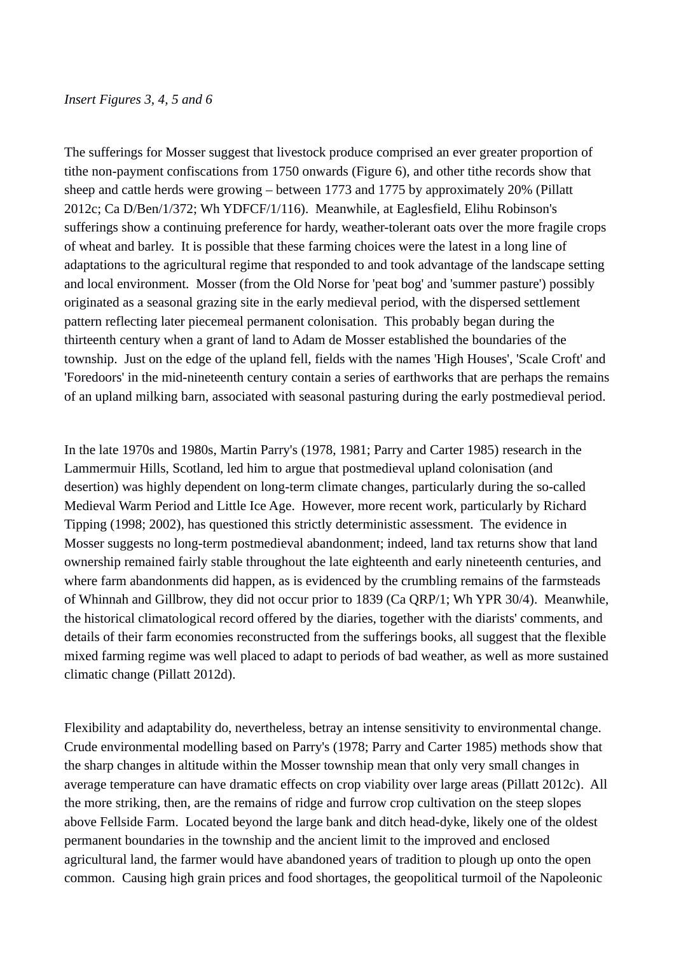#### *Insert Figures 3, 4, 5 and 6*

The sufferings for Mosser suggest that livestock produce comprised an ever greater proportion of tithe non-payment confiscations from 1750 onwards (Figure 6), and other tithe records show that sheep and cattle herds were growing – between 1773 and 1775 by approximately 20% (Pillatt 2012c; Ca D/Ben/1/372; Wh YDFCF/1/116). Meanwhile, at Eaglesfield, Elihu Robinson's sufferings show a continuing preference for hardy, weather-tolerant oats over the more fragile crops of wheat and barley. It is possible that these farming choices were the latest in a long line of adaptations to the agricultural regime that responded to and took advantage of the landscape setting and local environment. Mosser (from the Old Norse for 'peat bog' and 'summer pasture') possibly originated as a seasonal grazing site in the early medieval period, with the dispersed settlement pattern reflecting later piecemeal permanent colonisation. This probably began during the thirteenth century when a grant of land to Adam de Mosser established the boundaries of the township. Just on the edge of the upland fell, fields with the names 'High Houses', 'Scale Croft' and 'Foredoors' in the mid-nineteenth century contain a series of earthworks that are perhaps the remains of an upland milking barn, associated with seasonal pasturing during the early postmedieval period.

In the late 1970s and 1980s, Martin Parry's (1978, 1981; Parry and Carter 1985) research in the Lammermuir Hills, Scotland, led him to argue that postmedieval upland colonisation (and desertion) was highly dependent on long-term climate changes, particularly during the so-called Medieval Warm Period and Little Ice Age. However, more recent work, particularly by Richard Tipping (1998; 2002), has questioned this strictly deterministic assessment. The evidence in Mosser suggests no long-term postmedieval abandonment; indeed, land tax returns show that land ownership remained fairly stable throughout the late eighteenth and early nineteenth centuries, and where farm abandonments did happen, as is evidenced by the crumbling remains of the farmsteads of Whinnah and Gillbrow, they did not occur prior to 1839 (Ca QRP/1; Wh YPR 30/4). Meanwhile, the historical climatological record offered by the diaries, together with the diarists' comments, and details of their farm economies reconstructed from the sufferings books, all suggest that the flexible mixed farming regime was well placed to adapt to periods of bad weather, as well as more sustained climatic change (Pillatt 2012d).

Flexibility and adaptability do, nevertheless, betray an intense sensitivity to environmental change. Crude environmental modelling based on Parry's (1978; Parry and Carter 1985) methods show that the sharp changes in altitude within the Mosser township mean that only very small changes in average temperature can have dramatic effects on crop viability over large areas (Pillatt 2012c). All the more striking, then, are the remains of ridge and furrow crop cultivation on the steep slopes above Fellside Farm. Located beyond the large bank and ditch head-dyke, likely one of the oldest permanent boundaries in the township and the ancient limit to the improved and enclosed agricultural land, the farmer would have abandoned years of tradition to plough up onto the open common. Causing high grain prices and food shortages, the geopolitical turmoil of the Napoleonic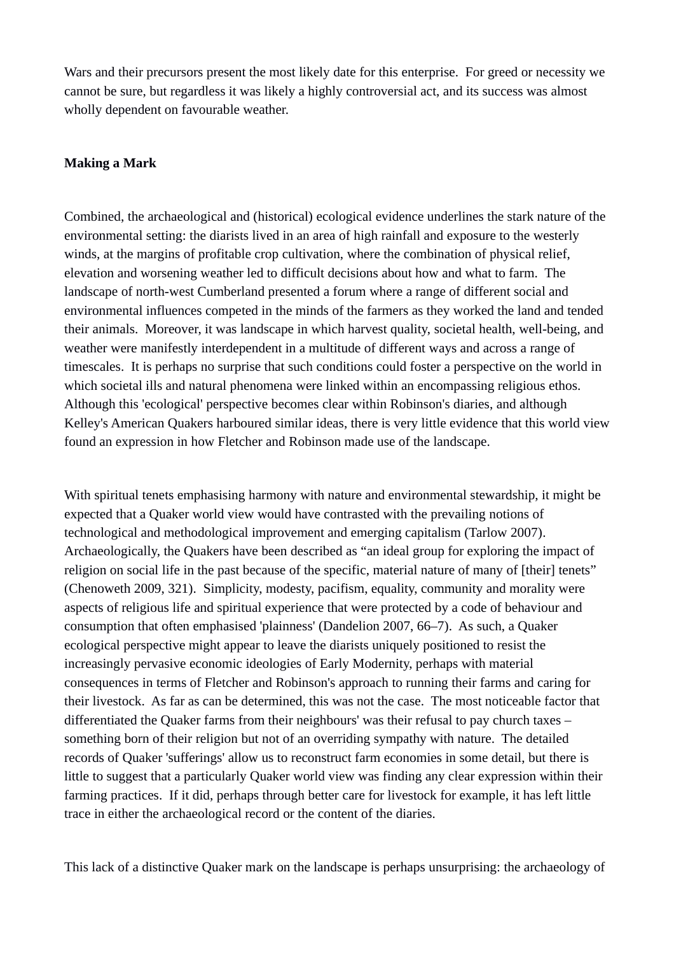Wars and their precursors present the most likely date for this enterprise. For greed or necessity we cannot be sure, but regardless it was likely a highly controversial act, and its success was almost wholly dependent on favourable weather.

### **Making a Mark**

Combined, the archaeological and (historical) ecological evidence underlines the stark nature of the environmental setting: the diarists lived in an area of high rainfall and exposure to the westerly winds, at the margins of profitable crop cultivation, where the combination of physical relief, elevation and worsening weather led to difficult decisions about how and what to farm. The landscape of north-west Cumberland presented a forum where a range of different social and environmental influences competed in the minds of the farmers as they worked the land and tended their animals. Moreover, it was landscape in which harvest quality, societal health, well-being, and weather were manifestly interdependent in a multitude of different ways and across a range of timescales. It is perhaps no surprise that such conditions could foster a perspective on the world in which societal ills and natural phenomena were linked within an encompassing religious ethos. Although this 'ecological' perspective becomes clear within Robinson's diaries, and although Kelley's American Quakers harboured similar ideas, there is very little evidence that this world view found an expression in how Fletcher and Robinson made use of the landscape.

With spiritual tenets emphasising harmony with nature and environmental stewardship, it might be expected that a Quaker world view would have contrasted with the prevailing notions of technological and methodological improvement and emerging capitalism (Tarlow 2007). Archaeologically, the Quakers have been described as "an ideal group for exploring the impact of religion on social life in the past because of the specific, material nature of many of [their] tenets" (Chenoweth 2009, 321). Simplicity, modesty, pacifism, equality, community and morality were aspects of religious life and spiritual experience that were protected by a code of behaviour and consumption that often emphasised 'plainness' (Dandelion 2007, 66–7). As such, a Quaker ecological perspective might appear to leave the diarists uniquely positioned to resist the increasingly pervasive economic ideologies of Early Modernity, perhaps with material consequences in terms of Fletcher and Robinson's approach to running their farms and caring for their livestock. As far as can be determined, this was not the case. The most noticeable factor that differentiated the Quaker farms from their neighbours' was their refusal to pay church taxes – something born of their religion but not of an overriding sympathy with nature. The detailed records of Quaker 'sufferings' allow us to reconstruct farm economies in some detail, but there is little to suggest that a particularly Quaker world view was finding any clear expression within their farming practices. If it did, perhaps through better care for livestock for example, it has left little trace in either the archaeological record or the content of the diaries.

This lack of a distinctive Quaker mark on the landscape is perhaps unsurprising: the archaeology of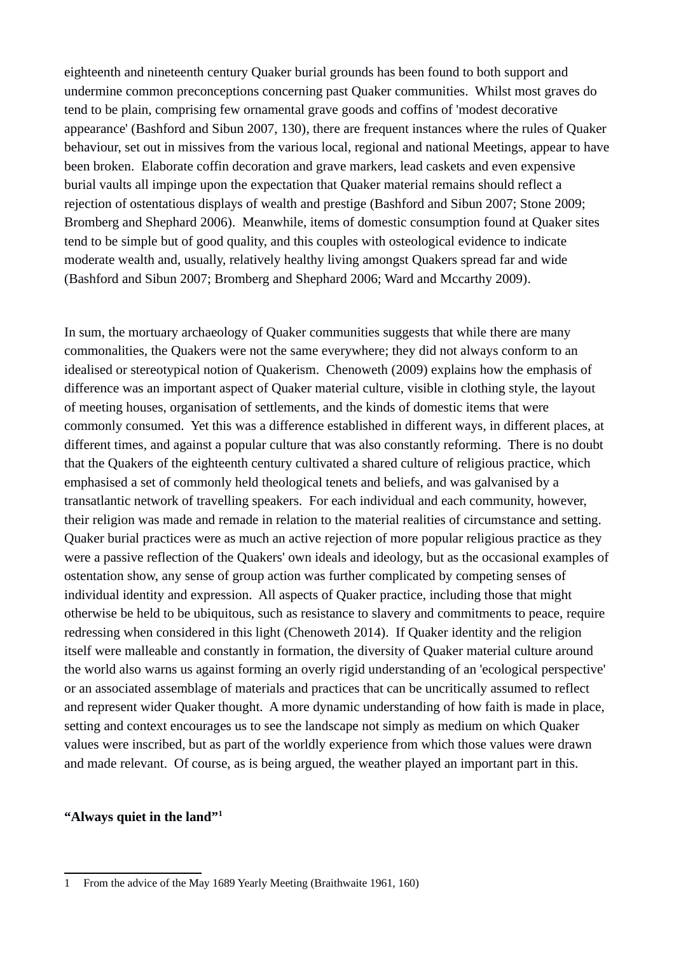eighteenth and nineteenth century Quaker burial grounds has been found to both support and undermine common preconceptions concerning past Quaker communities. Whilst most graves do tend to be plain, comprising few ornamental grave goods and coffins of 'modest decorative appearance' (Bashford and Sibun 2007, 130), there are frequent instances where the rules of Quaker behaviour, set out in missives from the various local, regional and national Meetings, appear to have been broken. Elaborate coffin decoration and grave markers, lead caskets and even expensive burial vaults all impinge upon the expectation that Quaker material remains should reflect a rejection of ostentatious displays of wealth and prestige (Bashford and Sibun 2007; Stone 2009; Bromberg and Shephard 2006). Meanwhile, items of domestic consumption found at Quaker sites tend to be simple but of good quality, and this couples with osteological evidence to indicate moderate wealth and, usually, relatively healthy living amongst Quakers spread far and wide (Bashford and Sibun 2007; Bromberg and Shephard 2006; Ward and Mccarthy 2009).

In sum, the mortuary archaeology of Quaker communities suggests that while there are many commonalities, the Quakers were not the same everywhere; they did not always conform to an idealised or stereotypical notion of Quakerism. Chenoweth (2009) explains how the emphasis of difference was an important aspect of Quaker material culture, visible in clothing style, the layout of meeting houses, organisation of settlements, and the kinds of domestic items that were commonly consumed. Yet this was a difference established in different ways, in different places, at different times, and against a popular culture that was also constantly reforming. There is no doubt that the Quakers of the eighteenth century cultivated a shared culture of religious practice, which emphasised a set of commonly held theological tenets and beliefs, and was galvanised by a transatlantic network of travelling speakers. For each individual and each community, however, their religion was made and remade in relation to the material realities of circumstance and setting. Quaker burial practices were as much an active rejection of more popular religious practice as they were a passive reflection of the Quakers' own ideals and ideology, but as the occasional examples of ostentation show, any sense of group action was further complicated by competing senses of individual identity and expression. All aspects of Quaker practice, including those that might otherwise be held to be ubiquitous, such as resistance to slavery and commitments to peace, require redressing when considered in this light (Chenoweth 2014). If Quaker identity and the religion itself were malleable and constantly in formation, the diversity of Quaker material culture around the world also warns us against forming an overly rigid understanding of an 'ecological perspective' or an associated assemblage of materials and practices that can be uncritically assumed to reflect and represent wider Quaker thought. A more dynamic understanding of how faith is made in place, setting and context encourages us to see the landscape not simply as medium on which Quaker values were inscribed, but as part of the worldly experience from which those values were drawn and made relevant. Of course, as is being argued, the weather played an important part in this.

### **"Always quiet in the land"[1](#page-10-0)**

<span id="page-10-0"></span><sup>1</sup> From the advice of the May 1689 Yearly Meeting (Braithwaite 1961, 160)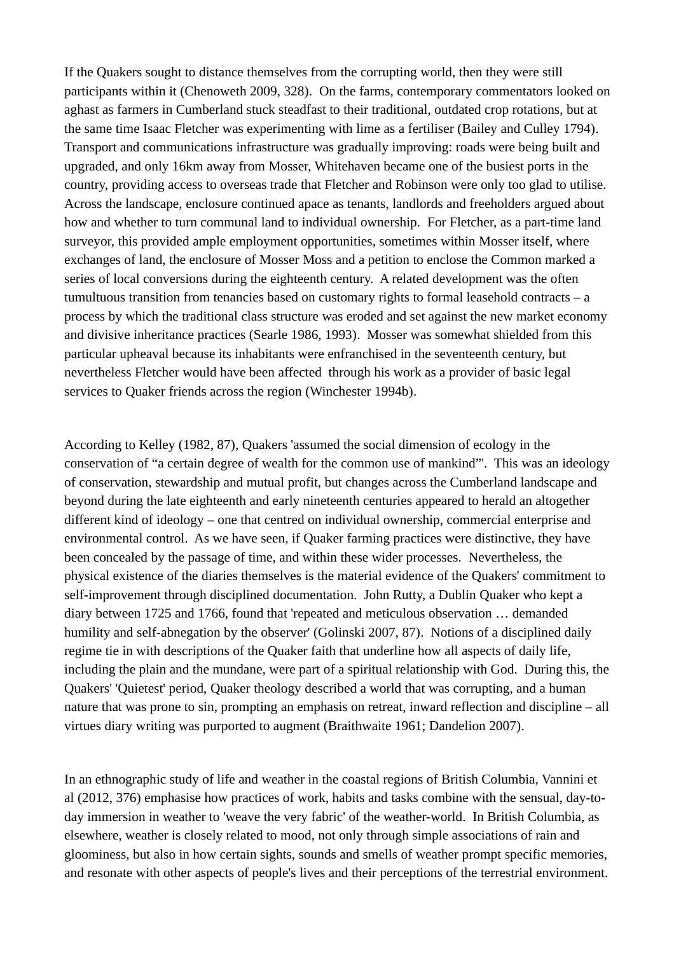If the Quakers sought to distance themselves from the corrupting world, then they were still participants within it (Chenoweth 2009, 328). On the farms, contemporary commentators looked on aghast as farmers in Cumberland stuck steadfast to their traditional, outdated crop rotations, but at the same time Isaac Fletcher was experimenting with lime as a fertiliser (Bailey and Culley 1794). Transport and communications infrastructure was gradually improving: roads were being built and upgraded, and only 16km away from Mosser, Whitehaven became one of the busiest ports in the country, providing access to overseas trade that Fletcher and Robinson were only too glad to utilise. Across the landscape, enclosure continued apace as tenants, landlords and freeholders argued about how and whether to turn communal land to individual ownership. For Fletcher, as a part-time land surveyor, this provided ample employment opportunities, sometimes within Mosser itself, where exchanges of land, the enclosure of Mosser Moss and a petition to enclose the Common marked a series of local conversions during the eighteenth century. A related development was the often tumultuous transition from tenancies based on customary rights to formal leasehold contracts – a process by which the traditional class structure was eroded and set against the new market economy and divisive inheritance practices (Searle 1986, 1993). Mosser was somewhat shielded from this particular upheaval because its inhabitants were enfranchised in the seventeenth century, but nevertheless Fletcher would have been affected through his work as a provider of basic legal services to Quaker friends across the region (Winchester 1994b).

According to Kelley (1982, 87), Quakers 'assumed the social dimension of ecology in the conservation of "a certain degree of wealth for the common use of mankind"'. This was an ideology of conservation, stewardship and mutual profit, but changes across the Cumberland landscape and beyond during the late eighteenth and early nineteenth centuries appeared to herald an altogether different kind of ideology – one that centred on individual ownership, commercial enterprise and environmental control. As we have seen, if Quaker farming practices were distinctive, they have been concealed by the passage of time, and within these wider processes. Nevertheless, the physical existence of the diaries themselves is the material evidence of the Quakers' commitment to self-improvement through disciplined documentation. John Rutty, a Dublin Quaker who kept a diary between 1725 and 1766, found that 'repeated and meticulous observation … demanded humility and self-abnegation by the observer' (Golinski 2007, 87). Notions of a disciplined daily regime tie in with descriptions of the Quaker faith that underline how all aspects of daily life, including the plain and the mundane, were part of a spiritual relationship with God. During this, the Quakers' 'Quietest' period, Quaker theology described a world that was corrupting, and a human nature that was prone to sin, prompting an emphasis on retreat, inward reflection and discipline – all virtues diary writing was purported to augment (Braithwaite 1961; Dandelion 2007).

In an ethnographic study of life and weather in the coastal regions of British Columbia, Vannini et al (2012, 376) emphasise how practices of work, habits and tasks combine with the sensual, day-today immersion in weather to 'weave the very fabric' of the weather-world. In British Columbia, as elsewhere, weather is closely related to mood, not only through simple associations of rain and gloominess, but also in how certain sights, sounds and smells of weather prompt specific memories, and resonate with other aspects of people's lives and their perceptions of the terrestrial environment.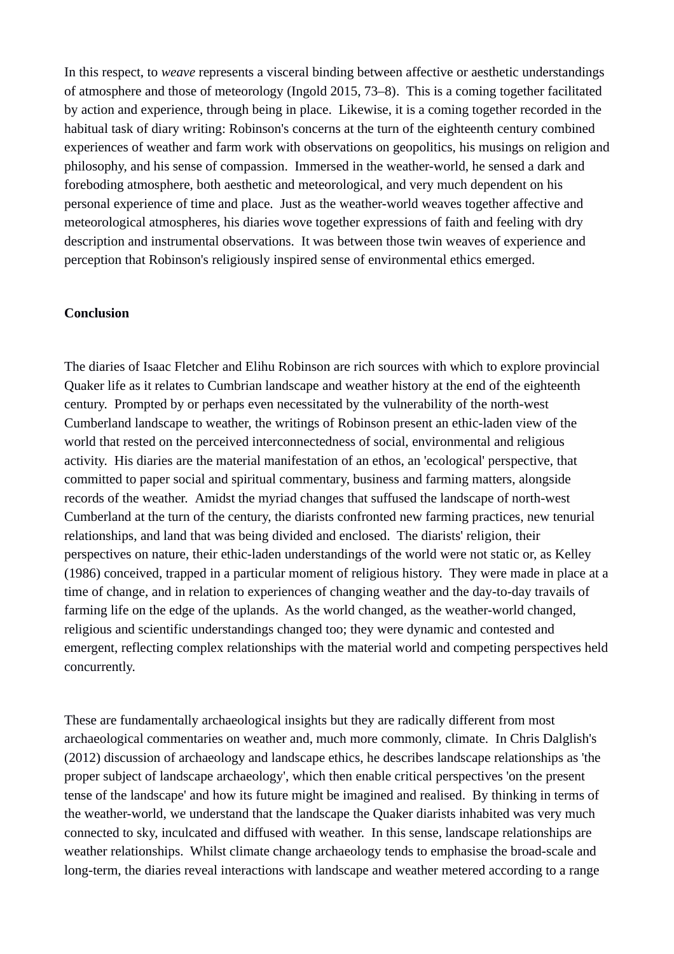In this respect, to *weave* represents a visceral binding between affective or aesthetic understandings of atmosphere and those of meteorology (Ingold 2015, 73–8). This is a coming together facilitated by action and experience, through being in place. Likewise, it is a coming together recorded in the habitual task of diary writing: Robinson's concerns at the turn of the eighteenth century combined experiences of weather and farm work with observations on geopolitics, his musings on religion and philosophy, and his sense of compassion. Immersed in the weather-world, he sensed a dark and foreboding atmosphere, both aesthetic and meteorological, and very much dependent on his personal experience of time and place. Just as the weather-world weaves together affective and meteorological atmospheres, his diaries wove together expressions of faith and feeling with dry description and instrumental observations. It was between those twin weaves of experience and perception that Robinson's religiously inspired sense of environmental ethics emerged.

### **Conclusion**

The diaries of Isaac Fletcher and Elihu Robinson are rich sources with which to explore provincial Quaker life as it relates to Cumbrian landscape and weather history at the end of the eighteenth century. Prompted by or perhaps even necessitated by the vulnerability of the north-west Cumberland landscape to weather, the writings of Robinson present an ethic-laden view of the world that rested on the perceived interconnectedness of social, environmental and religious activity. His diaries are the material manifestation of an ethos, an 'ecological' perspective, that committed to paper social and spiritual commentary, business and farming matters, alongside records of the weather. Amidst the myriad changes that suffused the landscape of north-west Cumberland at the turn of the century, the diarists confronted new farming practices, new tenurial relationships, and land that was being divided and enclosed. The diarists' religion, their perspectives on nature, their ethic-laden understandings of the world were not static or, as Kelley (1986) conceived, trapped in a particular moment of religious history. They were made in place at a time of change, and in relation to experiences of changing weather and the day-to-day travails of farming life on the edge of the uplands. As the world changed, as the weather-world changed, religious and scientific understandings changed too; they were dynamic and contested and emergent, reflecting complex relationships with the material world and competing perspectives held concurrently.

These are fundamentally archaeological insights but they are radically different from most archaeological commentaries on weather and, much more commonly, climate. In Chris Dalglish's (2012) discussion of archaeology and landscape ethics, he describes landscape relationships as 'the proper subject of landscape archaeology', which then enable critical perspectives 'on the present tense of the landscape' and how its future might be imagined and realised. By thinking in terms of the weather-world, we understand that the landscape the Quaker diarists inhabited was very much connected to sky, inculcated and diffused with weather. In this sense, landscape relationships are weather relationships. Whilst climate change archaeology tends to emphasise the broad-scale and long-term, the diaries reveal interactions with landscape and weather metered according to a range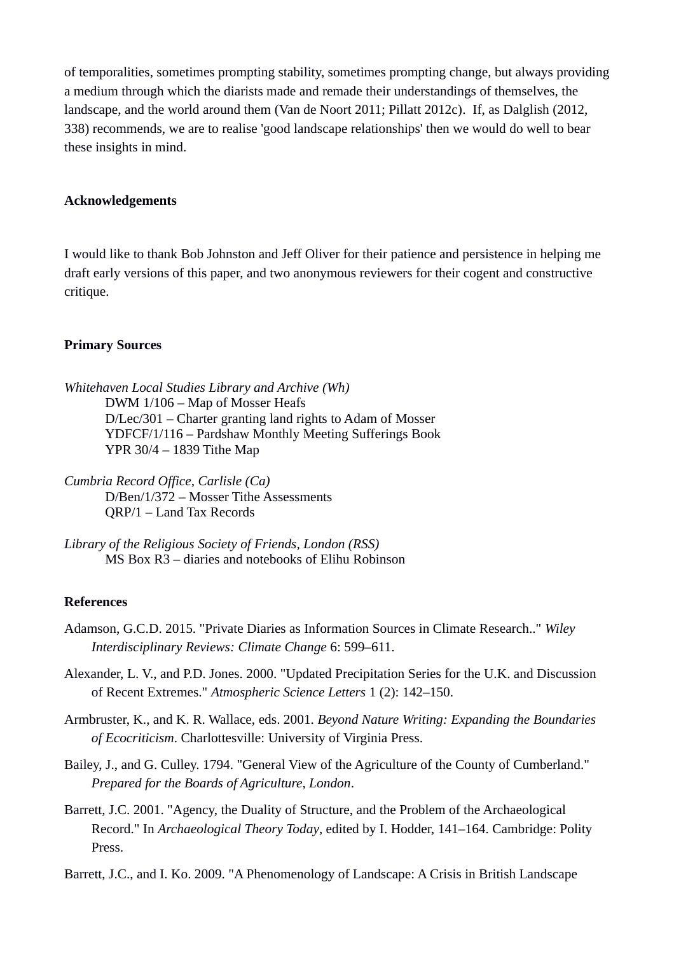of temporalities, sometimes prompting stability, sometimes prompting change, but always providing a medium through which the diarists made and remade their understandings of themselves, the landscape, and the world around them (Van de Noort 2011; Pillatt 2012c). If, as Dalglish (2012, 338) recommends, we are to realise 'good landscape relationships' then we would do well to bear these insights in mind.

### **Acknowledgements**

I would like to thank Bob Johnston and Jeff Oliver for their patience and persistence in helping me draft early versions of this paper, and two anonymous reviewers for their cogent and constructive critique.

### **Primary Sources**

*Whitehaven Local Studies Library and Archive (Wh)* DWM 1/106 – Map of Mosser Heafs D/Lec/301 – Charter granting land rights to Adam of Mosser YDFCF/1/116 – Pardshaw Monthly Meeting Sufferings Book YPR 30/4 – 1839 Tithe Map

*Cumbria Record Office, Carlisle (Ca)* D/Ben/1/372 – Mosser Tithe Assessments QRP/1 – Land Tax Records

*Library of the Religious Society of Friends, London (RSS)* MS Box R3 – diaries and notebooks of Elihu Robinson

#### **References**

- Adamson, G.C.D. 2015. "Private Diaries as Information Sources in Climate Research.." *Wiley Interdisciplinary Reviews: Climate Change* 6: 599–611.
- Alexander, L. V., and P.D. Jones. 2000. "Updated Precipitation Series for the U.K. and Discussion of Recent Extremes." *Atmospheric Science Letters* 1 (2): 142–150.
- Armbruster, K., and K. R. Wallace, eds. 2001. *Beyond Nature Writing: Expanding the Boundaries of Ecocriticism*. Charlottesville: University of Virginia Press.
- Bailey, J., and G. Culley. 1794. "General View of the Agriculture of the County of Cumberland." *Prepared for the Boards of Agriculture, London*.
- Barrett, J.C. 2001. "Agency, the Duality of Structure, and the Problem of the Archaeological Record." In *Archaeological Theory Today*, edited by I. Hodder, 141–164. Cambridge: Polity Press.

Barrett, J.C., and I. Ko. 2009. "A Phenomenology of Landscape: A Crisis in British Landscape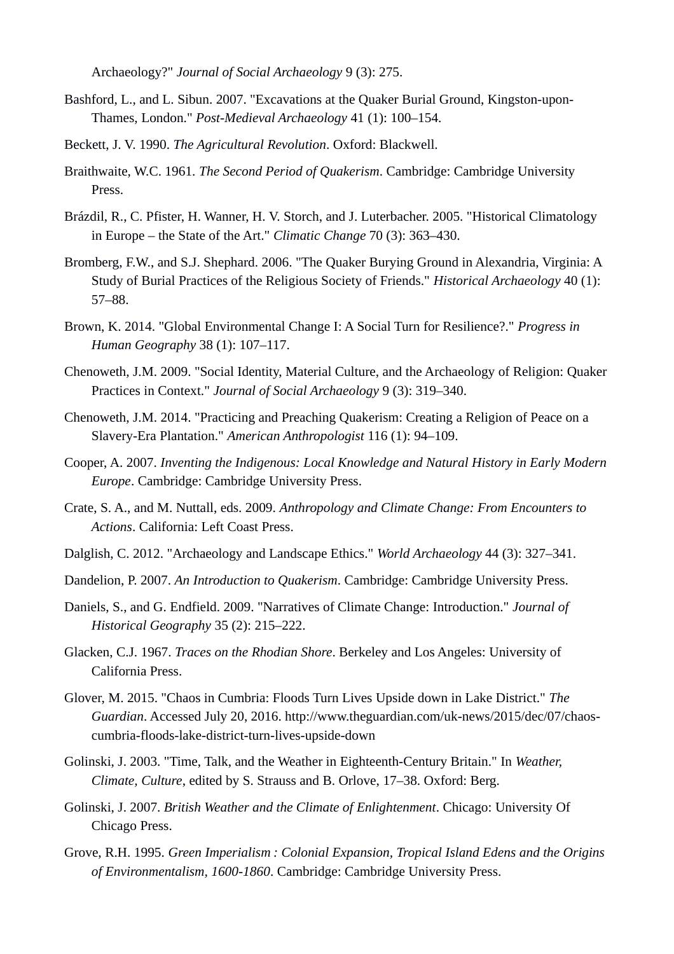Archaeology?" *Journal of Social Archaeology* 9 (3): 275.

- Bashford, L., and L. Sibun. 2007. "Excavations at the Quaker Burial Ground, Kingston-upon-Thames, London." *Post-Medieval Archaeology* 41 (1): 100–154.
- Beckett, J. V. 1990. *The Agricultural Revolution*. Oxford: Blackwell.
- Braithwaite, W.C. 1961. *The Second Period of Quakerism*. Cambridge: Cambridge University Press.
- Brázdil, R., C. Pfister, H. Wanner, H. V. Storch, and J. Luterbacher. 2005. "Historical Climatology in Europe – the State of the Art." *Climatic Change* 70 (3): 363–430.
- Bromberg, F.W., and S.J. Shephard. 2006. "The Quaker Burying Ground in Alexandria, Virginia: A Study of Burial Practices of the Religious Society of Friends." *Historical Archaeology* 40 (1): 57–88.
- Brown, K. 2014. "Global Environmental Change I: A Social Turn for Resilience?." *Progress in Human Geography* 38 (1): 107–117.
- Chenoweth, J.M. 2009. "Social Identity, Material Culture, and the Archaeology of Religion: Quaker Practices in Context." *Journal of Social Archaeology* 9 (3): 319–340.
- Chenoweth, J.M. 2014. "Practicing and Preaching Quakerism: Creating a Religion of Peace on a Slavery-Era Plantation." *American Anthropologist* 116 (1): 94–109.
- Cooper, A. 2007. *Inventing the Indigenous: Local Knowledge and Natural History in Early Modern Europe*. Cambridge: Cambridge University Press.
- Crate, S. A., and M. Nuttall, eds. 2009. *Anthropology and Climate Change: From Encounters to Actions*. California: Left Coast Press.
- Dalglish, C. 2012. "Archaeology and Landscape Ethics." *World Archaeology* 44 (3): 327–341.
- Dandelion, P. 2007. *An Introduction to Quakerism*. Cambridge: Cambridge University Press.
- Daniels, S., and G. Endfield. 2009. "Narratives of Climate Change: Introduction." *Journal of Historical Geography* 35 (2): 215–222.
- Glacken, C.J. 1967. *Traces on the Rhodian Shore*. Berkeley and Los Angeles: University of California Press.
- Glover, M. 2015. "Chaos in Cumbria: Floods Turn Lives Upside down in Lake District." *The Guardian*. Accessed July 20, 2016. http://www.theguardian.com/uk-news/2015/dec/07/chaoscumbria-floods-lake-district-turn-lives-upside-down
- Golinski, J. 2003. "Time, Talk, and the Weather in Eighteenth-Century Britain." In *Weather, Climate, Culture*, edited by S. Strauss and B. Orlove, 17–38. Oxford: Berg.
- Golinski, J. 2007. *British Weather and the Climate of Enlightenment*. Chicago: University Of Chicago Press.
- Grove, R.H. 1995. *Green Imperialism : Colonial Expansion, Tropical Island Edens and the Origins of Environmentalism, 1600-1860*. Cambridge: Cambridge University Press.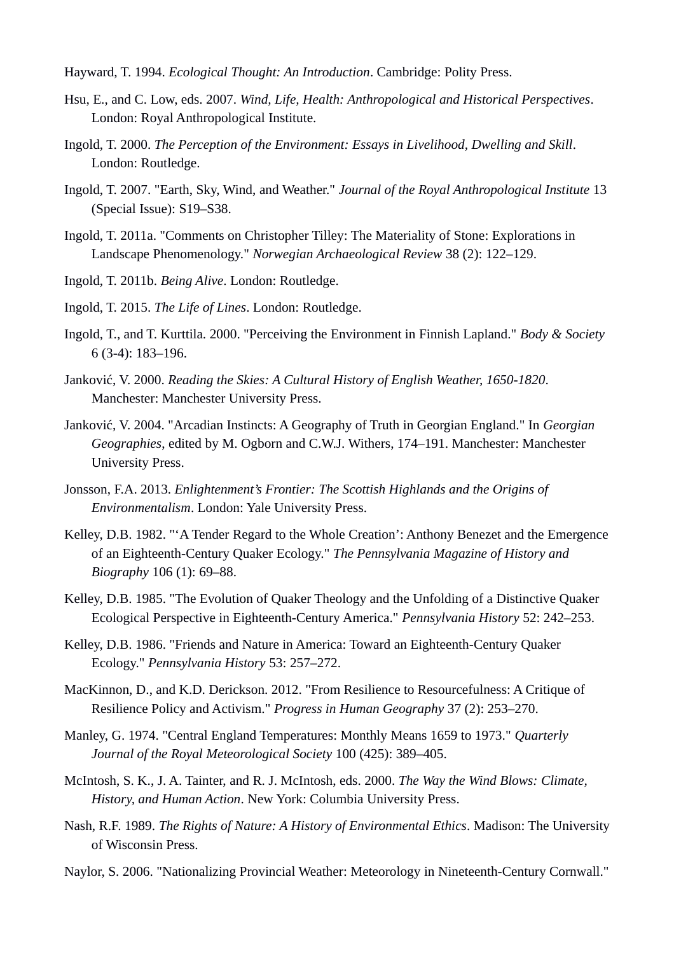Hayward, T. 1994. *Ecological Thought: An Introduction*. Cambridge: Polity Press.

- Hsu, E., and C. Low, eds. 2007. *Wind, Life, Health: Anthropological and Historical Perspectives*. London: Royal Anthropological Institute.
- Ingold, T. 2000. *The Perception of the Environment: Essays in Livelihood, Dwelling and Skill*. London: Routledge.
- Ingold, T. 2007. "Earth, Sky, Wind, and Weather." *Journal of the Royal Anthropological Institute* 13 (Special Issue): S19–S38.
- Ingold, T. 2011a. "Comments on Christopher Tilley: The Materiality of Stone: Explorations in Landscape Phenomenology." *Norwegian Archaeological Review* 38 (2): 122–129.

Ingold, T. 2011b. *Being Alive*. London: Routledge.

- Ingold, T. 2015. *The Life of Lines*. London: Routledge.
- Ingold, T., and T. Kurttila. 2000. "Perceiving the Environment in Finnish Lapland." *Body & Society* 6 (3-4): 183–196.
- Janković, V. 2000. *Reading the Skies: A Cultural History of English Weather, 1650-1820*. Manchester: Manchester University Press.
- Janković, V. 2004. "Arcadian Instincts: A Geography of Truth in Georgian England." In *Georgian Geographies*, edited by M. Ogborn and C.W.J. Withers, 174–191. Manchester: Manchester University Press.
- Jonsson, F.A. 2013. *Enlightenment's Frontier: The Scottish Highlands and the Origins of Environmentalism*. London: Yale University Press.
- Kelley, D.B. 1982. "'A Tender Regard to the Whole Creation': Anthony Benezet and the Emergence of an Eighteenth-Century Quaker Ecology." *The Pennsylvania Magazine of History and Biography* 106 (1): 69–88.
- Kelley, D.B. 1985. "The Evolution of Quaker Theology and the Unfolding of a Distinctive Quaker Ecological Perspective in Eighteenth-Century America." *Pennsylvania History* 52: 242–253.
- Kelley, D.B. 1986. "Friends and Nature in America: Toward an Eighteenth-Century Quaker Ecology." *Pennsylvania History* 53: 257–272.
- MacKinnon, D., and K.D. Derickson. 2012. "From Resilience to Resourcefulness: A Critique of Resilience Policy and Activism." *Progress in Human Geography* 37 (2): 253–270.
- Manley, G. 1974. "Central England Temperatures: Monthly Means 1659 to 1973." *Quarterly Journal of the Royal Meteorological Society* 100 (425): 389–405.
- McIntosh, S. K., J. A. Tainter, and R. J. McIntosh, eds. 2000. *The Way the Wind Blows: Climate, History, and Human Action*. New York: Columbia University Press.
- Nash, R.F. 1989. *The Rights of Nature: A History of Environmental Ethics*. Madison: The University of Wisconsin Press.
- Naylor, S. 2006. "Nationalizing Provincial Weather: Meteorology in Nineteenth-Century Cornwall."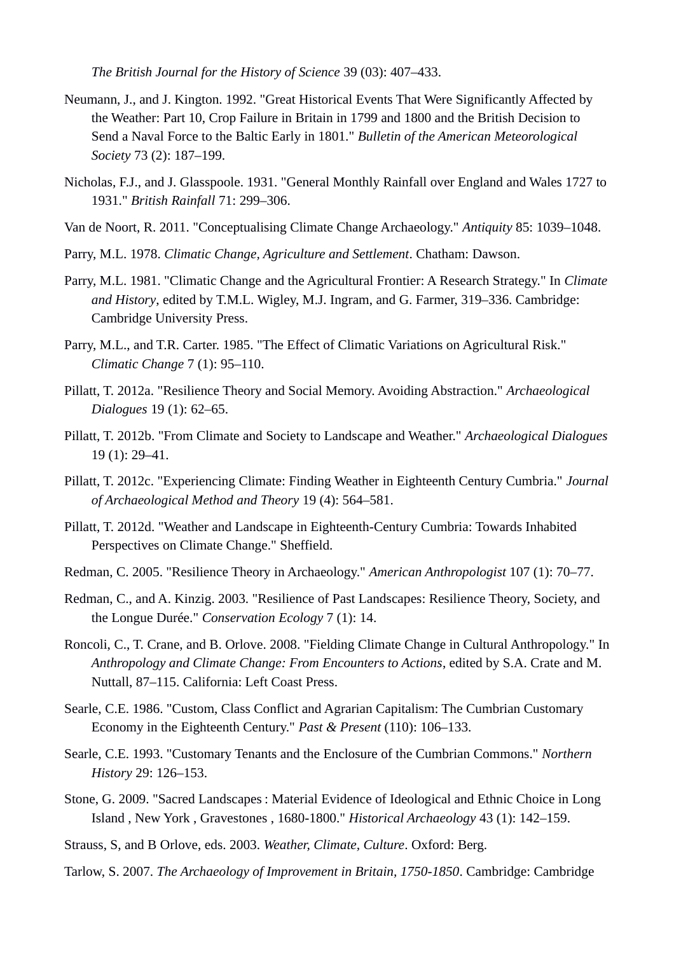*The British Journal for the History of Science* 39 (03): 407–433.

- Neumann, J., and J. Kington. 1992. "Great Historical Events That Were Significantly Affected by the Weather: Part 10, Crop Failure in Britain in 1799 and 1800 and the British Decision to Send a Naval Force to the Baltic Early in 1801." *Bulletin of the American Meteorological Society* 73 (2): 187–199.
- Nicholas, F.J., and J. Glasspoole. 1931. "General Monthly Rainfall over England and Wales 1727 to 1931." *British Rainfall* 71: 299–306.
- Van de Noort, R. 2011. "Conceptualising Climate Change Archaeology." *Antiquity* 85: 1039–1048.
- Parry, M.L. 1978. *Climatic Change, Agriculture and Settlement*. Chatham: Dawson.
- Parry, M.L. 1981. "Climatic Change and the Agricultural Frontier: A Research Strategy." In *Climate and History*, edited by T.M.L. Wigley, M.J. Ingram, and G. Farmer, 319–336. Cambridge: Cambridge University Press.
- Parry, M.L., and T.R. Carter. 1985. "The Effect of Climatic Variations on Agricultural Risk." *Climatic Change* 7 (1): 95–110.
- Pillatt, T. 2012a. "Resilience Theory and Social Memory. Avoiding Abstraction." *Archaeological Dialogues* 19 (1): 62–65.
- Pillatt, T. 2012b. "From Climate and Society to Landscape and Weather." *Archaeological Dialogues* 19 (1): 29–41.
- Pillatt, T. 2012c. "Experiencing Climate: Finding Weather in Eighteenth Century Cumbria." *Journal of Archaeological Method and Theory* 19 (4): 564–581.
- Pillatt, T. 2012d. "Weather and Landscape in Eighteenth-Century Cumbria: Towards Inhabited Perspectives on Climate Change." Sheffield.
- Redman, C. 2005. "Resilience Theory in Archaeology." *American Anthropologist* 107 (1): 70–77.
- Redman, C., and A. Kinzig. 2003. "Resilience of Past Landscapes: Resilience Theory, Society, and the Longue Durée." *Conservation Ecology* 7 (1): 14.
- Roncoli, C., T. Crane, and B. Orlove. 2008. "Fielding Climate Change in Cultural Anthropology." In *Anthropology and Climate Change: From Encounters to Actions*, edited by S.A. Crate and M. Nuttall, 87–115. California: Left Coast Press.
- Searle, C.E. 1986. "Custom, Class Conflict and Agrarian Capitalism: The Cumbrian Customary Economy in the Eighteenth Century." *Past & Present* (110): 106–133.
- Searle, C.E. 1993. "Customary Tenants and the Enclosure of the Cumbrian Commons." *Northern History* 29: 126–153.
- Stone, G. 2009. "Sacred Landscapes : Material Evidence of Ideological and Ethnic Choice in Long Island , New York , Gravestones , 1680-1800." *Historical Archaeology* 43 (1): 142–159.
- Strauss, S, and B Orlove, eds. 2003. *Weather, Climate, Culture*. Oxford: Berg.
- Tarlow, S. 2007. *The Archaeology of Improvement in Britain, 1750-1850*. Cambridge: Cambridge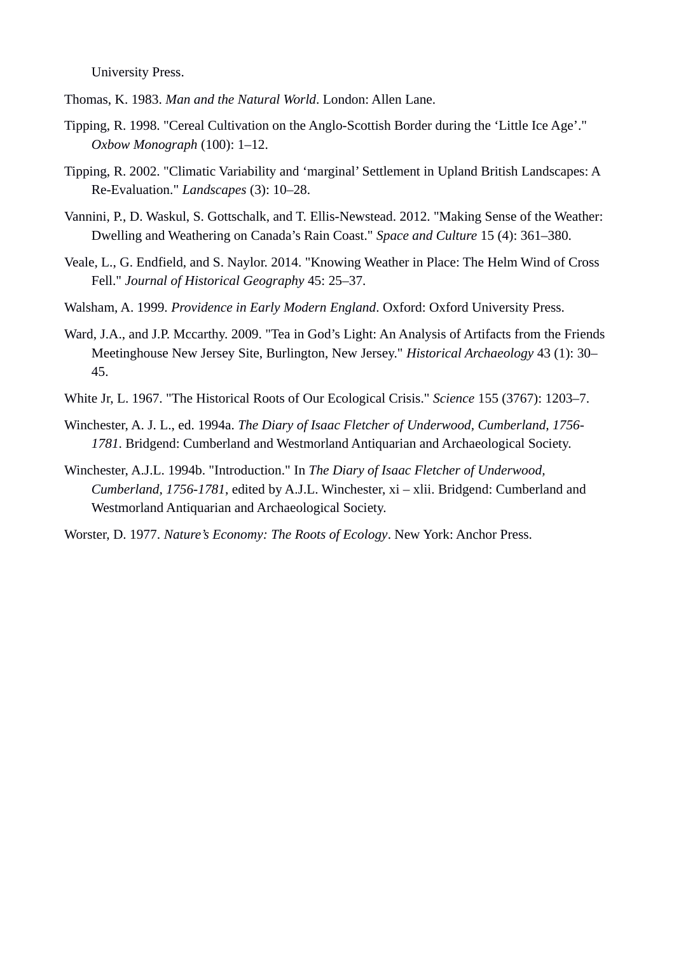University Press.

- Thomas, K. 1983. *Man and the Natural World*. London: Allen Lane.
- Tipping, R. 1998. "Cereal Cultivation on the Anglo-Scottish Border during the 'Little Ice Age'." *Oxbow Monograph* (100): 1–12.
- Tipping, R. 2002. "Climatic Variability and 'marginal' Settlement in Upland British Landscapes: A Re-Evaluation." *Landscapes* (3): 10–28.
- Vannini, P., D. Waskul, S. Gottschalk, and T. Ellis-Newstead. 2012. "Making Sense of the Weather: Dwelling and Weathering on Canada's Rain Coast." *Space and Culture* 15 (4): 361–380.
- Veale, L., G. Endfield, and S. Naylor. 2014. "Knowing Weather in Place: The Helm Wind of Cross Fell." *Journal of Historical Geography* 45: 25–37.
- Walsham, A. 1999. *Providence in Early Modern England*. Oxford: Oxford University Press.
- Ward, J.A., and J.P. Mccarthy. 2009. "Tea in God's Light: An Analysis of Artifacts from the Friends Meetinghouse New Jersey Site, Burlington, New Jersey." *Historical Archaeology* 43 (1): 30– 45.
- White Jr, L. 1967. "The Historical Roots of Our Ecological Crisis." *Science* 155 (3767): 1203–7.
- Winchester, A. J. L., ed. 1994a. *The Diary of Isaac Fletcher of Underwood, Cumberland, 1756- 1781*. Bridgend: Cumberland and Westmorland Antiquarian and Archaeological Society.
- Winchester, A.J.L. 1994b. "Introduction." In *The Diary of Isaac Fletcher of Underwood, Cumberland, 1756-1781*, edited by A.J.L. Winchester, xi – xlii. Bridgend: Cumberland and Westmorland Antiquarian and Archaeological Society.
- Worster, D. 1977. *Nature's Economy: The Roots of Ecology*. New York: Anchor Press.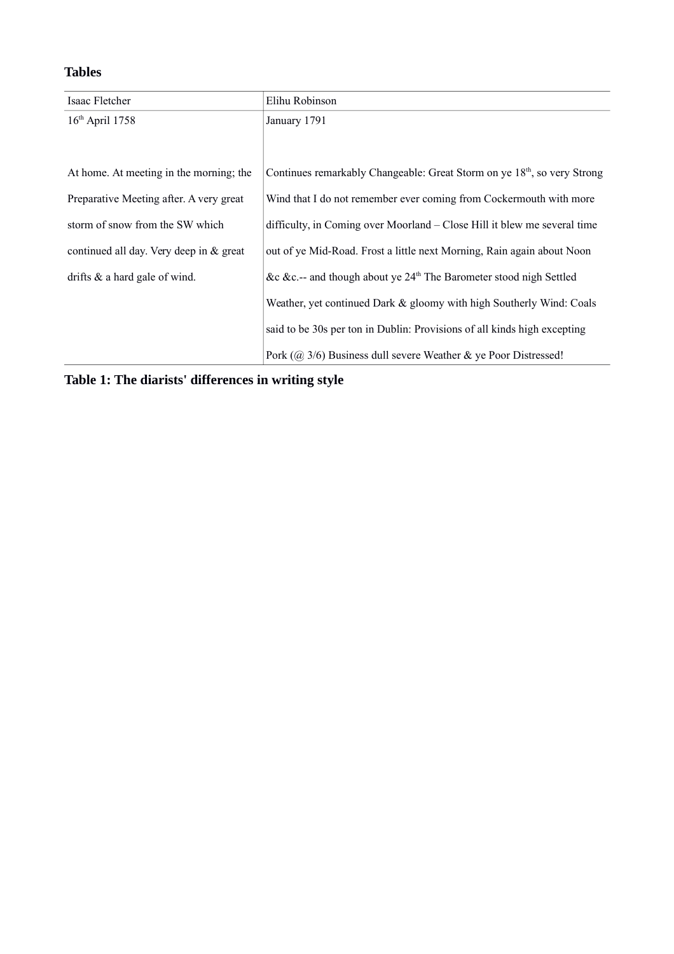# **Tables**

| Isaac Fletcher                          | Elihu Robinson                                                                       |
|-----------------------------------------|--------------------------------------------------------------------------------------|
| $16th$ April 1758                       | January 1791                                                                         |
|                                         |                                                                                      |
|                                         |                                                                                      |
| At home. At meeting in the morning; the | Continues remarkably Changeable: Great Storm on ye 18 <sup>th</sup> , so very Strong |
| Preparative Meeting after. A very great | Wind that I do not remember ever coming from Cockermouth with more                   |
| storm of snow from the SW which         | difficulty, in Coming over Moorland – Close Hill it blew me several time             |
| continued all day. Very deep in & great | out of ye Mid-Road. Frost a little next Morning, Rain again about Noon               |
| drifts $\&$ a hard gale of wind.        | &c &c.-- and though about ye 24 <sup>th</sup> The Barometer stood nigh Settled       |
|                                         | Weather, yet continued Dark & gloomy with high Southerly Wind: Coals                 |
|                                         | said to be 30s per ton in Dublin: Provisions of all kinds high excepting             |
|                                         | Pork ( $\omega$ 3/6) Business dull severe Weather & ye Poor Distressed!              |

**Table 1: The diarists' differences in writing style**